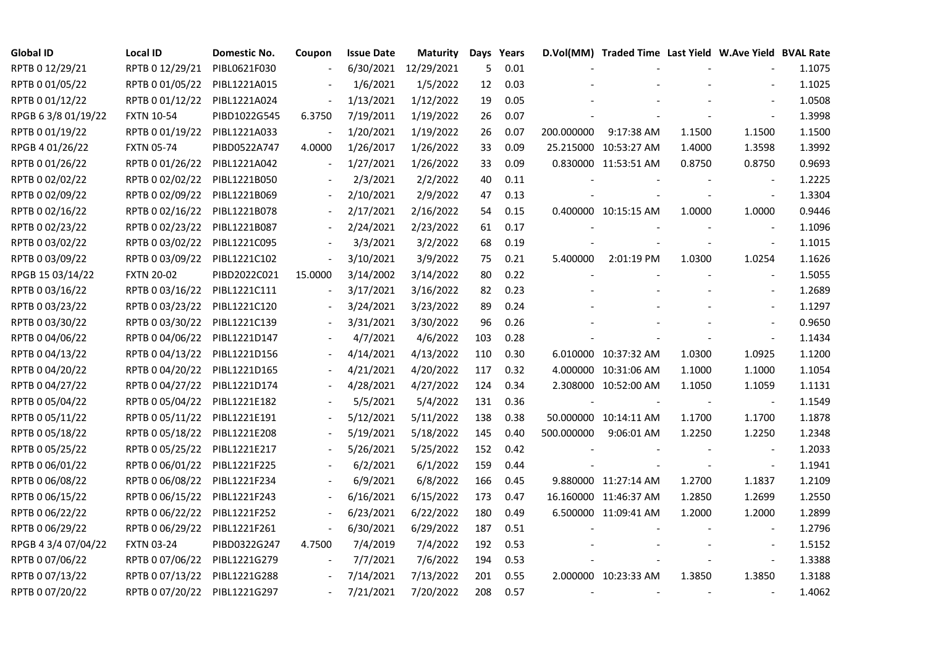| <b>Global ID</b>    | <b>Local ID</b>   | Domestic No. | Coupon                   | <b>Issue Date</b> | <b>Maturity</b>      |     | Days Years |            | D.Vol(MM) Traded Time Last Yield W.Ave Yield BVAL Rate |        |                          |        |
|---------------------|-------------------|--------------|--------------------------|-------------------|----------------------|-----|------------|------------|--------------------------------------------------------|--------|--------------------------|--------|
| RPTB 0 12/29/21     | RPTB 0 12/29/21   | PIBL0621F030 |                          |                   | 6/30/2021 12/29/2021 | 5   | 0.01       |            |                                                        |        |                          | 1.1075 |
| RPTB 0 01/05/22     | RPTB 0 01/05/22   | PIBL1221A015 |                          | 1/6/2021          | 1/5/2022             | 12  | 0.03       |            |                                                        |        |                          | 1.1025 |
| RPTB 0 01/12/22     | RPTB 0 01/12/22   | PIBL1221A024 |                          | 1/13/2021         | 1/12/2022            | 19  | 0.05       |            |                                                        |        | $\blacksquare$           | 1.0508 |
| RPGB 63/8 01/19/22  | <b>FXTN 10-54</b> | PIBD1022G545 | 6.3750                   | 7/19/2011         | 1/19/2022            | 26  | 0.07       |            |                                                        |        |                          | 1.3998 |
| RPTB 0 01/19/22     | RPTB 0 01/19/22   | PIBL1221A033 |                          | 1/20/2021         | 1/19/2022            | 26  | 0.07       | 200.000000 | 9:17:38 AM                                             | 1.1500 | 1.1500                   | 1.1500 |
| RPGB 4 01/26/22     | <b>FXTN 05-74</b> | PIBD0522A747 | 4.0000                   | 1/26/2017         | 1/26/2022            | 33  | 0.09       |            | 25.215000 10:53:27 AM                                  | 1.4000 | 1.3598                   | 1.3992 |
| RPTB 0 01/26/22     | RPTB 0 01/26/22   | PIBL1221A042 | $\overline{\phantom{a}}$ | 1/27/2021         | 1/26/2022            | 33  | 0.09       |            | 0.830000 11:53:51 AM                                   | 0.8750 | 0.8750                   | 0.9693 |
| RPTB 0 02/02/22     | RPTB 0 02/02/22   | PIBL1221B050 |                          | 2/3/2021          | 2/2/2022             | 40  | 0.11       |            |                                                        |        | $\overline{\phantom{a}}$ | 1.2225 |
| RPTB 0 02/09/22     | RPTB 0 02/09/22   | PIBL1221B069 |                          | 2/10/2021         | 2/9/2022             | 47  | 0.13       |            |                                                        |        |                          | 1.3304 |
| RPTB 0 02/16/22     | RPTB 0 02/16/22   | PIBL1221B078 |                          | 2/17/2021         | 2/16/2022            | 54  | 0.15       |            | 0.400000 10:15:15 AM                                   | 1.0000 | 1.0000                   | 0.9446 |
| RPTB 0 02/23/22     | RPTB 0 02/23/22   | PIBL1221B087 | $\blacksquare$           | 2/24/2021         | 2/23/2022            | 61  | 0.17       |            |                                                        |        | $\overline{\phantom{a}}$ | 1.1096 |
| RPTB 0 03/02/22     | RPTB 0 03/02/22   | PIBL1221C095 |                          | 3/3/2021          | 3/2/2022             | 68  | 0.19       |            |                                                        |        | $\blacksquare$           | 1.1015 |
| RPTB 0 03/09/22     | RPTB 0 03/09/22   | PIBL1221C102 |                          | 3/10/2021         | 3/9/2022             | 75  | 0.21       | 5.400000   | 2:01:19 PM                                             | 1.0300 | 1.0254                   | 1.1626 |
| RPGB 15 03/14/22    | <b>FXTN 20-02</b> | PIBD2022C021 | 15.0000                  | 3/14/2002         | 3/14/2022            | 80  | 0.22       |            |                                                        |        | $\blacksquare$           | 1.5055 |
| RPTB 0 03/16/22     | RPTB 0 03/16/22   | PIBL1221C111 |                          | 3/17/2021         | 3/16/2022            | 82  | 0.23       |            |                                                        |        |                          | 1.2689 |
| RPTB 0 03/23/22     | RPTB 0 03/23/22   | PIBL1221C120 |                          | 3/24/2021         | 3/23/2022            | 89  | 0.24       |            |                                                        |        |                          | 1.1297 |
| RPTB 0 03/30/22     | RPTB 0 03/30/22   | PIBL1221C139 |                          | 3/31/2021         | 3/30/2022            | 96  | 0.26       |            |                                                        |        | $\overline{a}$           | 0.9650 |
| RPTB 0 04/06/22     | RPTB 0 04/06/22   | PIBL1221D147 |                          | 4/7/2021          | 4/6/2022             | 103 | 0.28       |            |                                                        |        |                          | 1.1434 |
| RPTB 0 04/13/22     | RPTB 0 04/13/22   | PIBL1221D156 |                          | 4/14/2021         | 4/13/2022            | 110 | 0.30       |            | 6.010000 10:37:32 AM                                   | 1.0300 | 1.0925                   | 1.1200 |
| RPTB 0 04/20/22     | RPTB 0 04/20/22   | PIBL1221D165 |                          | 4/21/2021         | 4/20/2022            | 117 | 0.32       |            | 4.000000 10:31:06 AM                                   | 1.1000 | 1.1000                   | 1.1054 |
| RPTB 0 04/27/22     | RPTB 0 04/27/22   | PIBL1221D174 |                          | 4/28/2021         | 4/27/2022            | 124 | 0.34       |            | 2.308000 10:52:00 AM                                   | 1.1050 | 1.1059                   | 1.1131 |
| RPTB 0 05/04/22     | RPTB 0 05/04/22   | PIBL1221E182 |                          | 5/5/2021          | 5/4/2022             | 131 | 0.36       |            |                                                        |        | $\blacksquare$           | 1.1549 |
| RPTB 0 05/11/22     | RPTB 0 05/11/22   | PIBL1221E191 |                          | 5/12/2021         | 5/11/2022            | 138 | 0.38       |            | 50.000000 10:14:11 AM                                  | 1.1700 | 1.1700                   | 1.1878 |
| RPTB 0 05/18/22     | RPTB 0 05/18/22   | PIBL1221E208 |                          | 5/19/2021         | 5/18/2022            | 145 | 0.40       | 500.000000 | 9:06:01 AM                                             | 1.2250 | 1.2250                   | 1.2348 |
| RPTB 0 05/25/22     | RPTB 0 05/25/22   | PIBL1221E217 |                          | 5/26/2021         | 5/25/2022            | 152 | 0.42       |            |                                                        |        | $\overline{\phantom{a}}$ | 1.2033 |
| RPTB 0 06/01/22     | RPTB 0 06/01/22   | PIBL1221F225 |                          | 6/2/2021          | 6/1/2022             | 159 | 0.44       |            |                                                        |        | $\blacksquare$           | 1.1941 |
| RPTB 0 06/08/22     | RPTB 0 06/08/22   | PIBL1221F234 |                          | 6/9/2021          | 6/8/2022             | 166 | 0.45       |            | 9.880000 11:27:14 AM                                   | 1.2700 | 1.1837                   | 1.2109 |
| RPTB 0 06/15/22     | RPTB 0 06/15/22   | PIBL1221F243 |                          | 6/16/2021         | 6/15/2022            | 173 | 0.47       |            | 16.160000 11:46:37 AM                                  | 1.2850 | 1.2699                   | 1.2550 |
| RPTB 0 06/22/22     | RPTB 0 06/22/22   | PIBL1221F252 |                          | 6/23/2021         | 6/22/2022            | 180 | 0.49       |            | 6.500000 11:09:41 AM                                   | 1.2000 | 1.2000                   | 1.2899 |
| RPTB 0 06/29/22     | RPTB 0 06/29/22   | PIBL1221F261 |                          | 6/30/2021         | 6/29/2022            | 187 | 0.51       |            |                                                        |        |                          | 1.2796 |
| RPGB 4 3/4 07/04/22 | <b>FXTN 03-24</b> | PIBD0322G247 | 4.7500                   | 7/4/2019          | 7/4/2022             | 192 | 0.53       |            |                                                        |        | $\overline{a}$           | 1.5152 |
| RPTB 0 07/06/22     | RPTB 0 07/06/22   | PIBL1221G279 |                          | 7/7/2021          | 7/6/2022             | 194 | 0.53       |            |                                                        |        | $\blacksquare$           | 1.3388 |
| RPTB 0 07/13/22     | RPTB 0 07/13/22   | PIBL1221G288 |                          | 7/14/2021         | 7/13/2022            | 201 | 0.55       |            | 2.000000 10:23:33 AM                                   | 1.3850 | 1.3850                   | 1.3188 |
| RPTB 0 07/20/22     | RPTB 0 07/20/22   | PIBL1221G297 |                          | 7/21/2021         | 7/20/2022            | 208 | 0.57       |            |                                                        |        |                          | 1.4062 |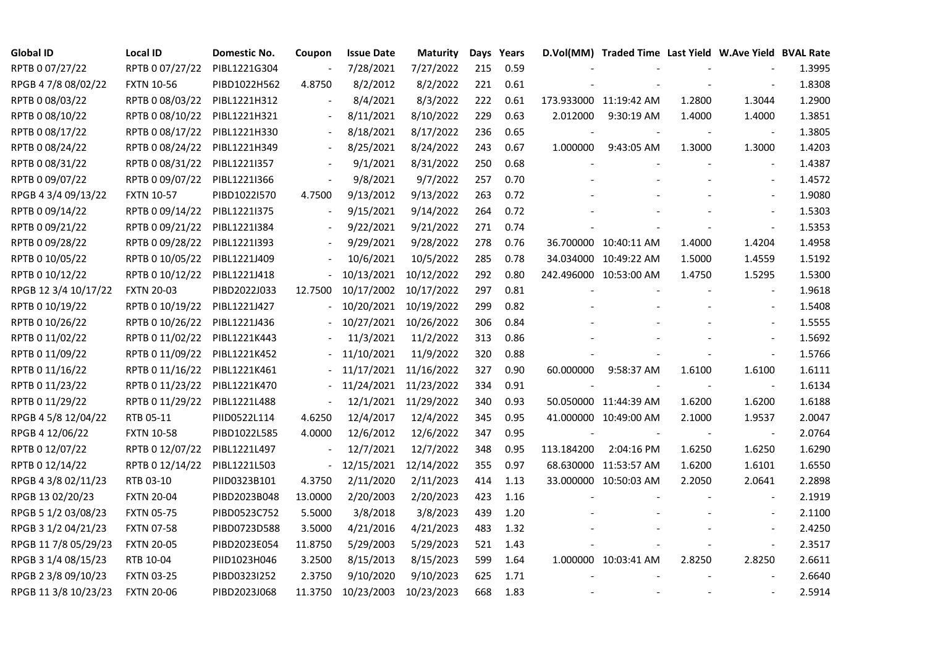| <b>Global ID</b>     | <b>Local ID</b>   | Domestic No. | Coupon                   | <b>Issue Date</b>     | Maturity              |     | Days Years |            | D.Vol(MM) Traded Time Last Yield W.Ave Yield BVAL Rate |        |                          |        |
|----------------------|-------------------|--------------|--------------------------|-----------------------|-----------------------|-----|------------|------------|--------------------------------------------------------|--------|--------------------------|--------|
| RPTB 0 07/27/22      | RPTB 0 07/27/22   | PIBL1221G304 | $\overline{\phantom{a}}$ | 7/28/2021             | 7/27/2022             | 215 | 0.59       |            |                                                        |        |                          | 1.3995 |
| RPGB 4 7/8 08/02/22  | <b>FXTN 10-56</b> | PIBD1022H562 | 4.8750                   | 8/2/2012              | 8/2/2022              | 221 | 0.61       |            |                                                        |        |                          | 1.8308 |
| RPTB 0 08/03/22      | RPTB 0 08/03/22   | PIBL1221H312 |                          | 8/4/2021              | 8/3/2022              | 222 | 0.61       |            | 173.933000 11:19:42 AM                                 | 1.2800 | 1.3044                   | 1.2900 |
| RPTB 0 08/10/22      | RPTB 0 08/10/22   | PIBL1221H321 | $\overline{\phantom{a}}$ | 8/11/2021             | 8/10/2022             | 229 | 0.63       | 2.012000   | 9:30:19 AM                                             | 1.4000 | 1.4000                   | 1.3851 |
| RPTB 0 08/17/22      | RPTB 0 08/17/22   | PIBL1221H330 | $\overline{\phantom{a}}$ | 8/18/2021             | 8/17/2022             | 236 | 0.65       |            |                                                        |        | $\overline{\phantom{a}}$ | 1.3805 |
| RPTB 0 08/24/22      | RPTB 0 08/24/22   | PIBL1221H349 | $\blacksquare$           | 8/25/2021             | 8/24/2022             | 243 | 0.67       | 1.000000   | 9:43:05 AM                                             | 1.3000 | 1.3000                   | 1.4203 |
| RPTB 0 08/31/22      | RPTB 0 08/31/22   | PIBL1221I357 |                          | 9/1/2021              | 8/31/2022             | 250 | 0.68       |            |                                                        |        | $\overline{\phantom{a}}$ | 1.4387 |
| RPTB 0 09/07/22      | RPTB 0 09/07/22   | PIBL1221I366 | $\overline{\phantom{a}}$ | 9/8/2021              | 9/7/2022              | 257 | 0.70       |            |                                                        |        | $\overline{\phantom{a}}$ | 1.4572 |
| RPGB 4 3/4 09/13/22  | <b>FXTN 10-57</b> | PIBD1022I570 | 4.7500                   | 9/13/2012             | 9/13/2022             | 263 | 0.72       |            |                                                        |        |                          | 1.9080 |
| RPTB 0 09/14/22      | RPTB 0 09/14/22   | PIBL1221I375 | $\blacksquare$           | 9/15/2021             | 9/14/2022             | 264 | 0.72       |            |                                                        |        |                          | 1.5303 |
| RPTB 0 09/21/22      | RPTB 0 09/21/22   | PIBL1221I384 | $\blacksquare$           | 9/22/2021             | 9/21/2022             | 271 | 0.74       |            |                                                        |        | $\frac{1}{2}$            | 1.5353 |
| RPTB 0 09/28/22      | RPTB 0 09/28/22   | PIBL1221I393 |                          | 9/29/2021             | 9/28/2022             | 278 | 0.76       |            | 36.700000 10:40:11 AM                                  | 1.4000 | 1.4204                   | 1.4958 |
| RPTB 0 10/05/22      | RPTB 0 10/05/22   | PIBL1221J409 |                          | 10/6/2021             | 10/5/2022             | 285 | 0.78       |            | 34.034000 10:49:22 AM                                  | 1.5000 | 1.4559                   | 1.5192 |
| RPTB 0 10/12/22      | RPTB 0 10/12/22   | PIBL1221J418 |                          |                       | 10/13/2021 10/12/2022 | 292 | 0.80       |            | 242.496000 10:53:00 AM                                 | 1.4750 | 1.5295                   | 1.5300 |
| RPGB 12 3/4 10/17/22 | <b>FXTN 20-03</b> | PIBD2022J033 | 12.7500                  |                       | 10/17/2002 10/17/2022 | 297 | 0.81       |            |                                                        |        | $\overline{\phantom{a}}$ | 1.9618 |
| RPTB 0 10/19/22      | RPTB 0 10/19/22   | PIBL1221J427 |                          |                       | 10/20/2021 10/19/2022 | 299 | 0.82       |            |                                                        |        |                          | 1.5408 |
| RPTB 0 10/26/22      | RPTB 0 10/26/22   | PIBL1221J436 |                          |                       | 10/27/2021 10/26/2022 | 306 | 0.84       |            |                                                        |        | $\overline{\phantom{a}}$ | 1.5555 |
| RPTB 0 11/02/22      | RPTB 0 11/02/22   | PIBL1221K443 |                          | 11/3/2021             | 11/2/2022             | 313 | 0.86       |            |                                                        |        | $\overline{a}$           | 1.5692 |
| RPTB 0 11/09/22      | RPTB 0 11/09/22   | PIBL1221K452 |                          | 11/10/2021            | 11/9/2022             | 320 | 0.88       |            |                                                        |        | $\blacksquare$           | 1.5766 |
| RPTB 0 11/16/22      | RPTB 0 11/16/22   | PIBL1221K461 |                          |                       | 11/17/2021 11/16/2022 | 327 | 0.90       | 60.000000  | 9:58:37 AM                                             | 1.6100 | 1.6100                   | 1.6111 |
| RPTB 0 11/23/22      | RPTB 0 11/23/22   | PIBL1221K470 |                          | 11/24/2021 11/23/2022 |                       | 334 | 0.91       |            |                                                        |        | $\blacksquare$           | 1.6134 |
| RPTB 0 11/29/22      | RPTB 0 11/29/22   | PIBL1221L488 | $\overline{\phantom{a}}$ |                       | 12/1/2021 11/29/2022  | 340 | 0.93       |            | 50.050000 11:44:39 AM                                  | 1.6200 | 1.6200                   | 1.6188 |
| RPGB 4 5/8 12/04/22  | RTB 05-11         | PIID0522L114 | 4.6250                   | 12/4/2017             | 12/4/2022             | 345 | 0.95       |            | 41.000000 10:49:00 AM                                  | 2.1000 | 1.9537                   | 2.0047 |
| RPGB 4 12/06/22      | <b>FXTN 10-58</b> | PIBD1022L585 | 4.0000                   | 12/6/2012             | 12/6/2022             | 347 | 0.95       |            |                                                        |        |                          | 2.0764 |
| RPTB 0 12/07/22      | RPTB 0 12/07/22   | PIBL1221L497 | $\blacksquare$           | 12/7/2021             | 12/7/2022             | 348 | 0.95       | 113.184200 | 2:04:16 PM                                             | 1.6250 | 1.6250                   | 1.6290 |
| RPTB 0 12/14/22      | RPTB 0 12/14/22   | PIBL1221L503 | $\blacksquare$           | 12/15/2021            | 12/14/2022            | 355 | 0.97       |            | 68.630000 11:53:57 AM                                  | 1.6200 | 1.6101                   | 1.6550 |
| RPGB 4 3/8 02/11/23  | RTB 03-10         | PIID0323B101 | 4.3750                   | 2/11/2020             | 2/11/2023             | 414 | 1.13       |            | 33.000000 10:50:03 AM                                  | 2.2050 | 2.0641                   | 2.2898 |
| RPGB 13 02/20/23     | <b>FXTN 20-04</b> | PIBD2023B048 | 13.0000                  | 2/20/2003             | 2/20/2023             | 423 | 1.16       |            |                                                        |        | $\blacksquare$           | 2.1919 |
| RPGB 5 1/2 03/08/23  | <b>FXTN 05-75</b> | PIBD0523C752 | 5.5000                   | 3/8/2018              | 3/8/2023              | 439 | 1.20       |            |                                                        |        |                          | 2.1100 |
| RPGB 3 1/2 04/21/23  | <b>FXTN 07-58</b> | PIBD0723D588 | 3.5000                   | 4/21/2016             | 4/21/2023             | 483 | 1.32       |            |                                                        |        |                          | 2.4250 |
| RPGB 11 7/8 05/29/23 | <b>FXTN 20-05</b> | PIBD2023E054 | 11.8750                  | 5/29/2003             | 5/29/2023             | 521 | 1.43       |            |                                                        |        | $\blacksquare$           | 2.3517 |
| RPGB 3 1/4 08/15/23  | RTB 10-04         | PIID1023H046 | 3.2500                   | 8/15/2013             | 8/15/2023             | 599 | 1.64       |            | 1.000000 10:03:41 AM                                   | 2.8250 | 2.8250                   | 2.6611 |
| RPGB 2 3/8 09/10/23  | <b>FXTN 03-25</b> | PIBD0323I252 | 2.3750                   | 9/10/2020             | 9/10/2023             | 625 | 1.71       |            |                                                        |        |                          | 2.6640 |
| RPGB 11 3/8 10/23/23 | <b>FXTN 20-06</b> | PIBD2023J068 | 11.3750                  | 10/23/2003            | 10/23/2023            | 668 | 1.83       |            |                                                        |        |                          | 2.5914 |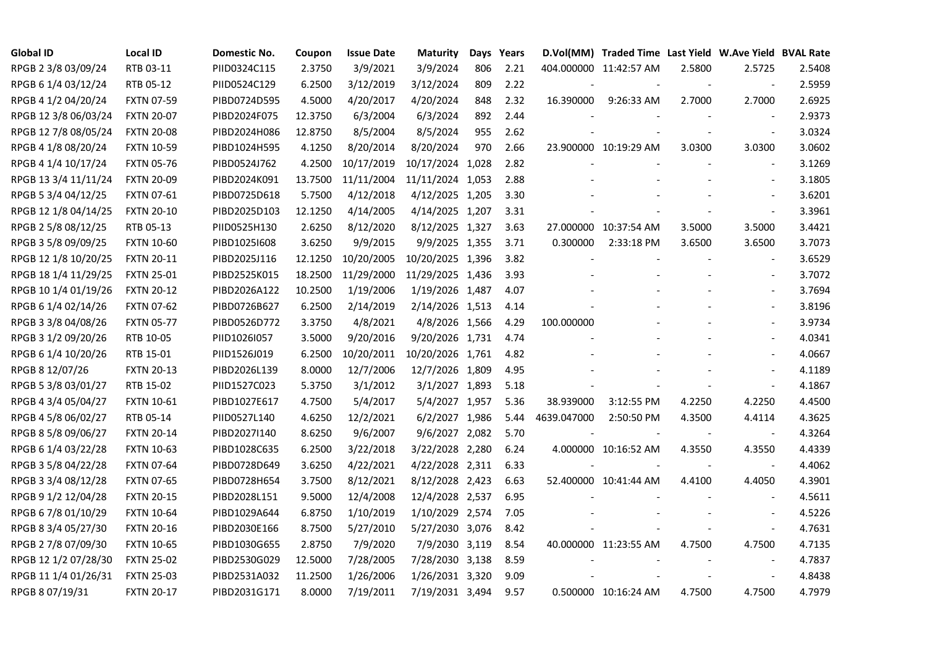| <b>Global ID</b>     | <b>Local ID</b>   | Domestic No. | Coupon  | <b>Issue Date</b> | <b>Maturity</b>  |     | Days Years |             | D.Vol(MM) Traded Time Last Yield W.Ave Yield BVAL Rate |        |                          |        |
|----------------------|-------------------|--------------|---------|-------------------|------------------|-----|------------|-------------|--------------------------------------------------------|--------|--------------------------|--------|
| RPGB 2 3/8 03/09/24  | RTB 03-11         | PIID0324C115 | 2.3750  | 3/9/2021          | 3/9/2024         | 806 | 2.21       |             | 404.000000 11:42:57 AM                                 | 2.5800 | 2.5725                   | 2.5408 |
| RPGB 6 1/4 03/12/24  | RTB 05-12         | PIID0524C129 | 6.2500  | 3/12/2019         | 3/12/2024        | 809 | 2.22       |             |                                                        |        |                          | 2.5959 |
| RPGB 4 1/2 04/20/24  | <b>FXTN 07-59</b> | PIBD0724D595 | 4.5000  | 4/20/2017         | 4/20/2024        | 848 | 2.32       | 16.390000   | 9:26:33 AM                                             | 2.7000 | 2.7000                   | 2.6925 |
| RPGB 12 3/8 06/03/24 | <b>FXTN 20-07</b> | PIBD2024F075 | 12.3750 | 6/3/2004          | 6/3/2024         | 892 | 2.44       |             |                                                        |        | $\overline{\phantom{a}}$ | 2.9373 |
| RPGB 12 7/8 08/05/24 | <b>FXTN 20-08</b> | PIBD2024H086 | 12.8750 | 8/5/2004          | 8/5/2024         | 955 | 2.62       |             |                                                        |        | $\blacksquare$           | 3.0324 |
| RPGB 4 1/8 08/20/24  | <b>FXTN 10-59</b> | PIBD1024H595 | 4.1250  | 8/20/2014         | 8/20/2024        | 970 | 2.66       |             | 23.900000 10:19:29 AM                                  | 3.0300 | 3.0300                   | 3.0602 |
| RPGB 4 1/4 10/17/24  | <b>FXTN 05-76</b> | PIBD0524J762 | 4.2500  | 10/17/2019        | 10/17/2024 1,028 |     | 2.82       |             |                                                        |        | $\blacksquare$           | 3.1269 |
| RPGB 13 3/4 11/11/24 | <b>FXTN 20-09</b> | PIBD2024K091 | 13.7500 | 11/11/2004        | 11/11/2024 1,053 |     | 2.88       |             |                                                        |        | $\sim$                   | 3.1805 |
| RPGB 5 3/4 04/12/25  | <b>FXTN 07-61</b> | PIBD0725D618 | 5.7500  | 4/12/2018         | 4/12/2025 1,205  |     | 3.30       |             |                                                        |        |                          | 3.6201 |
| RPGB 12 1/8 04/14/25 | <b>FXTN 20-10</b> | PIBD2025D103 | 12.1250 | 4/14/2005         | 4/14/2025 1,207  |     | 3.31       |             |                                                        |        | $\blacksquare$           | 3.3961 |
| RPGB 2 5/8 08/12/25  | RTB 05-13         | PIID0525H130 | 2.6250  | 8/12/2020         | 8/12/2025 1,327  |     | 3.63       |             | 27.000000 10:37:54 AM                                  | 3.5000 | 3.5000                   | 3.4421 |
| RPGB 3 5/8 09/09/25  | <b>FXTN 10-60</b> | PIBD10251608 | 3.6250  | 9/9/2015          | 9/9/2025 1,355   |     | 3.71       | 0.300000    | 2:33:18 PM                                             | 3.6500 | 3.6500                   | 3.7073 |
| RPGB 12 1/8 10/20/25 | <b>FXTN 20-11</b> | PIBD2025J116 | 12.1250 | 10/20/2005        | 10/20/2025 1,396 |     | 3.82       |             |                                                        |        | $\blacksquare$           | 3.6529 |
| RPGB 18 1/4 11/29/25 | <b>FXTN 25-01</b> | PIBD2525K015 | 18.2500 | 11/29/2000        | 11/29/2025 1,436 |     | 3.93       |             |                                                        |        | $\mathbf{r}$             | 3.7072 |
| RPGB 10 1/4 01/19/26 | <b>FXTN 20-12</b> | PIBD2026A122 | 10.2500 | 1/19/2006         | 1/19/2026 1,487  |     | 4.07       |             |                                                        |        | $\blacksquare$           | 3.7694 |
| RPGB 6 1/4 02/14/26  | <b>FXTN 07-62</b> | PIBD0726B627 | 6.2500  | 2/14/2019         | 2/14/2026 1,513  |     | 4.14       |             |                                                        |        |                          | 3.8196 |
| RPGB 3 3/8 04/08/26  | <b>FXTN 05-77</b> | PIBD0526D772 | 3.3750  | 4/8/2021          | 4/8/2026 1,566   |     | 4.29       | 100.000000  |                                                        |        | $\sim$                   | 3.9734 |
| RPGB 3 1/2 09/20/26  | RTB 10-05         | PIID1026I057 | 3.5000  | 9/20/2016         | 9/20/2026 1,731  |     | 4.74       |             |                                                        |        | $\blacksquare$           | 4.0341 |
| RPGB 6 1/4 10/20/26  | RTB 15-01         | PIID1526J019 | 6.2500  | 10/20/2011        | 10/20/2026 1,761 |     | 4.82       |             |                                                        |        | $\mathbf{r}$             | 4.0667 |
| RPGB 8 12/07/26      | <b>FXTN 20-13</b> | PIBD2026L139 | 8.0000  | 12/7/2006         | 12/7/2026 1,809  |     | 4.95       |             |                                                        |        | $\mathbf{r}$             | 4.1189 |
| RPGB 5 3/8 03/01/27  | RTB 15-02         | PIID1527C023 | 5.3750  | 3/1/2012          | 3/1/2027 1,893   |     | 5.18       |             | $\blacksquare$                                         |        | $\sim$                   | 4.1867 |
| RPGB 4 3/4 05/04/27  | <b>FXTN 10-61</b> | PIBD1027E617 | 4.7500  | 5/4/2017          | 5/4/2027 1,957   |     | 5.36       | 38.939000   | 3:12:55 PM                                             | 4.2250 | 4.2250                   | 4.4500 |
| RPGB 4 5/8 06/02/27  | RTB 05-14         | PIID0527L140 | 4.6250  | 12/2/2021         | 6/2/2027 1,986   |     | 5.44       | 4639.047000 | 2:50:50 PM                                             | 4.3500 | 4.4114                   | 4.3625 |
| RPGB 8 5/8 09/06/27  | <b>FXTN 20-14</b> | PIBD2027I140 | 8.6250  | 9/6/2007          | 9/6/2027 2,082   |     | 5.70       |             |                                                        |        | $\overline{\phantom{a}}$ | 4.3264 |
| RPGB 6 1/4 03/22/28  | <b>FXTN 10-63</b> | PIBD1028C635 | 6.2500  | 3/22/2018         | 3/22/2028 2,280  |     | 6.24       |             | 4.000000 10:16:52 AM                                   | 4.3550 | 4.3550                   | 4.4339 |
| RPGB 3 5/8 04/22/28  | <b>FXTN 07-64</b> | PIBD0728D649 | 3.6250  | 4/22/2021         | 4/22/2028 2,311  |     | 6.33       |             |                                                        |        | $\blacksquare$           | 4.4062 |
| RPGB 3 3/4 08/12/28  | <b>FXTN 07-65</b> | PIBD0728H654 | 3.7500  | 8/12/2021         | 8/12/2028 2,423  |     | 6.63       |             | 52.400000 10:41:44 AM                                  | 4.4100 | 4.4050                   | 4.3901 |
| RPGB 9 1/2 12/04/28  | <b>FXTN 20-15</b> | PIBD2028L151 | 9.5000  | 12/4/2008         | 12/4/2028 2,537  |     | 6.95       |             |                                                        |        | $\sim$                   | 4.5611 |
| RPGB 6 7/8 01/10/29  | <b>FXTN 10-64</b> | PIBD1029A644 | 6.8750  | 1/10/2019         | 1/10/2029 2,574  |     | 7.05       |             |                                                        |        |                          | 4.5226 |
| RPGB 8 3/4 05/27/30  | <b>FXTN 20-16</b> | PIBD2030E166 | 8.7500  | 5/27/2010         | 5/27/2030 3,076  |     | 8.42       |             |                                                        |        |                          | 4.7631 |
| RPGB 2 7/8 07/09/30  | <b>FXTN 10-65</b> | PIBD1030G655 | 2.8750  | 7/9/2020          | 7/9/2030 3,119   |     | 8.54       |             | 40.000000 11:23:55 AM                                  | 4.7500 | 4.7500                   | 4.7135 |
| RPGB 12 1/2 07/28/30 | <b>FXTN 25-02</b> | PIBD2530G029 | 12.5000 | 7/28/2005         | 7/28/2030 3,138  |     | 8.59       |             |                                                        |        | $\sim$                   | 4.7837 |
| RPGB 11 1/4 01/26/31 | <b>FXTN 25-03</b> | PIBD2531A032 | 11.2500 | 1/26/2006         | 1/26/2031 3,320  |     | 9.09       |             |                                                        |        | $\overline{\phantom{a}}$ | 4.8438 |
| RPGB 8 07/19/31      | <b>FXTN 20-17</b> | PIBD2031G171 | 8.0000  | 7/19/2011         | 7/19/2031 3,494  |     | 9.57       |             | 0.500000 10:16:24 AM                                   | 4.7500 | 4.7500                   | 4.7979 |